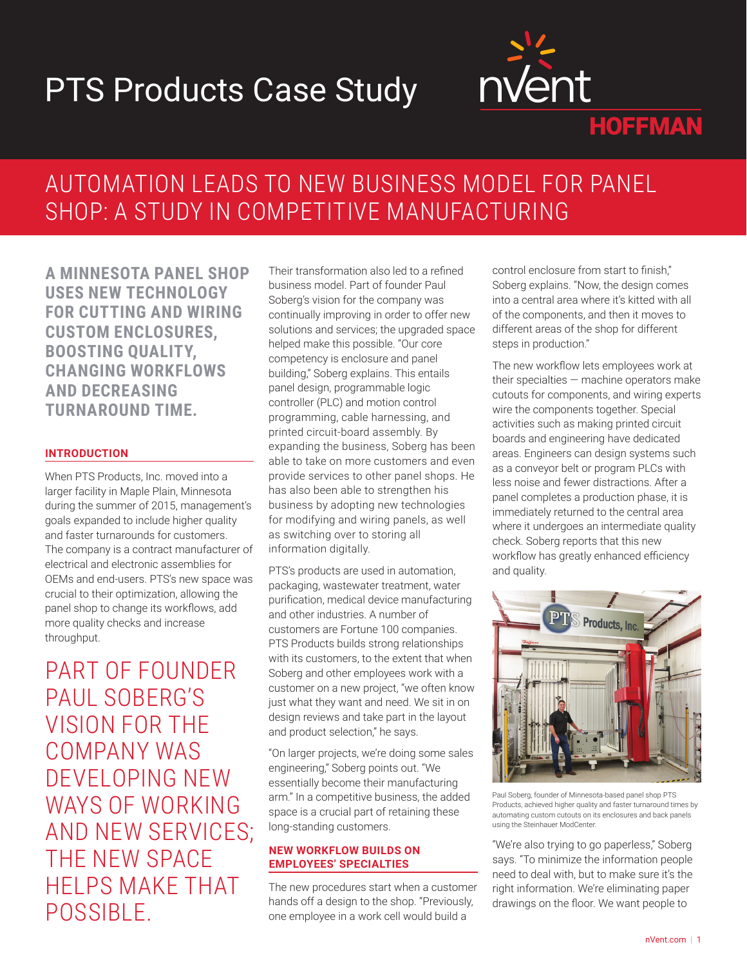# PTS Products Case Study



# AUTOMATION LEADS TO NEW BUSINESS MODEL FOR PANEL SHOP: A STUDY IN COMPETITIVE MANUFACTURING

**A MINNESOTA PANEL SHOP USES NEW TECHNOLOGY FOR CUTTING AND WIRING CUSTOM ENCLOSURES, BOOSTING QUALITY, CHANGING WORKFLOWS AND DECREASING TURNAROUND TIME.**

### **INTRODUCTION**

When PTS Products, Inc. moved into a larger facility in Maple Plain, Minnesota during the summer of 2015, management's goals expanded to include higher quality and faster turnarounds for customers. The company is a contract manufacturer of electrical and electronic assemblies for OEMs and end-users. PTS's new space was crucial to their optimization, allowing the panel shop to change its workflows, add more quality checks and increase throughput.

PART OF FOUNDER PAUL SOBERG'S VISION FOR THE COMPANY WAS DEVELOPING NEW WAYS OF WORKING AND NEW SERVICES; THE NEW SPACE HELPS MAKE THAT POSSIBLE.

Their transformation also led to a refined business model. Part of founder Paul Soberg's vision for the company was continually improving in order to offer new solutions and services; the upgraded space helped make this possible. "Our core competency is enclosure and panel building," Soberg explains. This entails panel design, programmable logic controller (PLC) and motion control programming, cable harnessing, and printed circuit-board assembly. By expanding the business, Soberg has been able to take on more customers and even provide services to other panel shops. He has also been able to strengthen his business by adopting new technologies for modifying and wiring panels, as well as switching over to storing all information digitally.

PTS's products are used in automation, packaging, wastewater treatment, water purification, medical device manufacturing and other industries. A number of customers are Fortune 100 companies. PTS Products builds strong relationships with its customers, to the extent that when Soberg and other employees work with a customer on a new project, "we often know just what they want and need. We sit in on design reviews and take part in the layout and product selection," he says.

"On larger projects, we're doing some sales engineering," Soberg points out. "We essentially become their manufacturing arm." In a competitive business, the added space is a crucial part of retaining these long-standing customers.

#### **NEW WORKFLOW BUILDS ON EMPLOYEES' SPECIALTIES**

The new procedures start when a customer hands off a design to the shop. "Previously, one employee in a work cell would build a

control enclosure from start to finish," Soberg explains. "Now, the design comes into a central area where it's kitted with all of the components, and then it moves to different areas of the shop for different steps in production."

The new workflow lets employees work at their specialties — machine operators make cutouts for components, and wiring experts wire the components together. Special activities such as making printed circuit boards and engineering have dedicated areas. Engineers can design systems such as a conveyor belt or program PLCs with less noise and fewer distractions. After a panel completes a production phase, it is immediately returned to the central area where it undergoes an intermediate quality check. Soberg reports that this new workflow has greatly enhanced efficiency and quality.



Paul Soberg, founder of Minnesota-based panel shop PTS Products, achieved higher quality and faster turnaround times by automating custom cutouts on its enclosures and back panels using the Steinhauer ModCenter.

"We're also trying to go paperless," Soberg says. "To minimize the information people need to deal with, but to make sure it's the right information. We're eliminating paper drawings on the floor. We want people to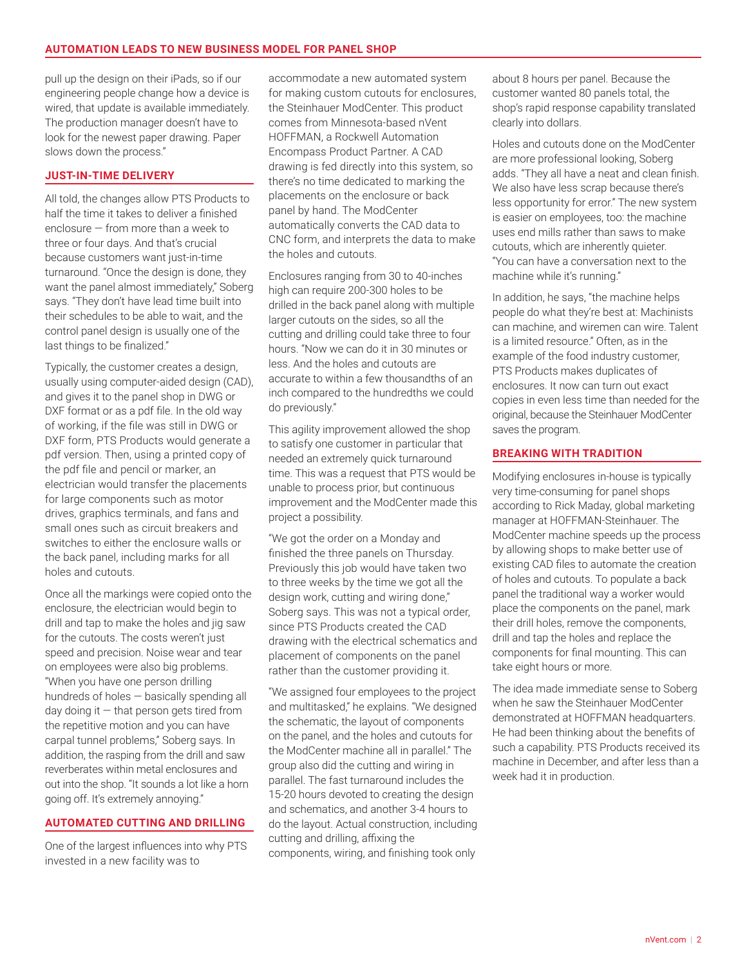pull up the design on their iPads, so if our engineering people change how a device is wired, that update is available immediately. The production manager doesn't have to look for the newest paper drawing. Paper slows down the process."

#### **JUST-IN-TIME DELIVERY**

All told, the changes allow PTS Products to half the time it takes to deliver a finished enclosure — from more than a week to three or four days. And that's crucial because customers want just-in-time turnaround. "Once the design is done, they want the panel almost immediately," Soberg says. "They don't have lead time built into their schedules to be able to wait, and the control panel design is usually one of the last things to be finalized."

Typically, the customer creates a design, usually using computer-aided design (CAD), and gives it to the panel shop in DWG or DXF format or as a pdf file. In the old way of working, if the file was still in DWG or DXF form, PTS Products would generate a pdf version. Then, using a printed copy of the pdf file and pencil or marker, an electrician would transfer the placements for large components such as motor drives, graphics terminals, and fans and small ones such as circuit breakers and switches to either the enclosure walls or the back panel, including marks for all holes and cutouts.

Once all the markings were copied onto the enclosure, the electrician would begin to drill and tap to make the holes and jig saw for the cutouts. The costs weren't just speed and precision. Noise wear and tear on employees were also big problems. "When you have one person drilling hundreds of holes — basically spending all day doing it — that person gets tired from the repetitive motion and you can have carpal tunnel problems," Soberg says. In addition, the rasping from the drill and saw reverberates within metal enclosures and out into the shop. "It sounds a lot like a horn going off. It's extremely annoying."

#### **AUTOMATED CUTTING AND DRILLING**

One of the largest influences into why PTS invested in a new facility was to

accommodate a new automated system for making custom cutouts for enclosures, the Steinhauer ModCenter. This product comes from Minnesota-based nVent HOFFMAN, a Rockwell Automation Encompass Product Partner. A CAD drawing is fed directly into this system, so there's no time dedicated to marking the placements on the enclosure or back panel by hand. The ModCenter automatically converts the CAD data to CNC form, and interprets the data to make the holes and cutouts.

Enclosures ranging from 30 to 40-inches high can require 200-300 holes to be drilled in the back panel along with multiple larger cutouts on the sides, so all the cutting and drilling could take three to four hours. "Now we can do it in 30 minutes or less. And the holes and cutouts are accurate to within a few thousandths of an inch compared to the hundredths we could do previously."

This agility improvement allowed the shop to satisfy one customer in particular that needed an extremely quick turnaround time. This was a request that PTS would be unable to process prior, but continuous improvement and the ModCenter made this project a possibility.

"We got the order on a Monday and finished the three panels on Thursday. Previously this job would have taken two to three weeks by the time we got all the design work, cutting and wiring done," Soberg says. This was not a typical order, since PTS Products created the CAD drawing with the electrical schematics and placement of components on the panel rather than the customer providing it.

"We assigned four employees to the project and multitasked," he explains. "We designed the schematic, the layout of components on the panel, and the holes and cutouts for the ModCenter machine all in parallel." The group also did the cutting and wiring in parallel. The fast turnaround includes the 15-20 hours devoted to creating the design and schematics, and another 3-4 hours to do the layout. Actual construction, including cutting and drilling, affixing the components, wiring, and finishing took only

about 8 hours per panel. Because the customer wanted 80 panels total, the shop's rapid response capability translated clearly into dollars.

Holes and cutouts done on the ModCenter are more professional looking, Soberg adds. "They all have a neat and clean finish. We also have less scrap because there's less opportunity for error." The new system is easier on employees, too: the machine uses end mills rather than saws to make cutouts, which are inherently quieter. "You can have a conversation next to the machine while it's running."

In addition, he says, "the machine helps people do what they're best at: Machinists can machine, and wiremen can wire. Talent is a limited resource." Often, as in the example of the food industry customer, PTS Products makes duplicates of enclosures. It now can turn out exact copies in even less time than needed for the original, because the Steinhauer ModCenter saves the program.

#### **BREAKING WITH TRADITION**

Modifying enclosures in-house is typically very time-consuming for panel shops according to Rick Maday, global marketing manager at HOFFMAN-Steinhauer. The ModCenter machine speeds up the process by allowing shops to make better use of existing CAD files to automate the creation of holes and cutouts. To populate a back panel the traditional way a worker would place the components on the panel, mark their drill holes, remove the components, drill and tap the holes and replace the components for final mounting. This can take eight hours or more.

The idea made immediate sense to Soberg when he saw the Steinhauer ModCenter demonstrated at HOFFMAN headquarters. He had been thinking about the benefits of such a capability. PTS Products received its machine in December, and after less than a week had it in production.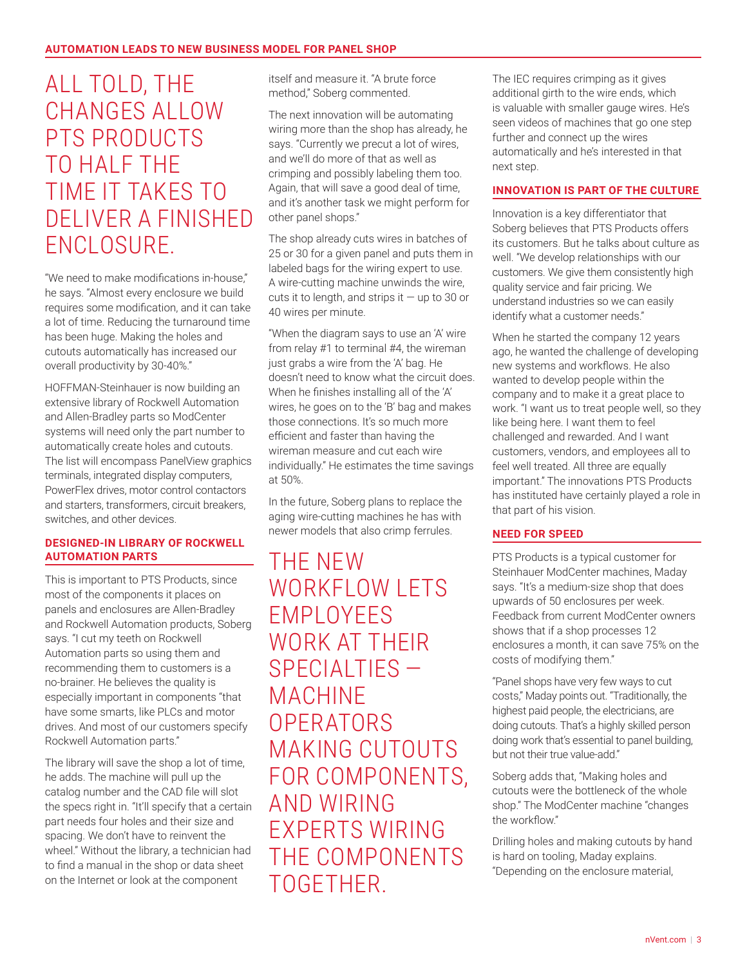# ALL TOLD, THE CHANGES ALLOW PTS PRODUCTS TO HALF THE TIME IT TAKES TO DELIVER A FINISHED ENCLOSURE

"We need to make modifications in-house," he says. "Almost every enclosure we build requires some modification, and it can take a lot of time. Reducing the turnaround time has been huge. Making the holes and cutouts automatically has increased our overall productivity by 30-40%."

HOFFMAN-Steinhauer is now building an extensive library of Rockwell Automation and Allen-Bradley parts so ModCenter systems will need only the part number to automatically create holes and cutouts. The list will encompass PanelView graphics terminals, integrated display computers, PowerFlex drives, motor control contactors and starters, transformers, circuit breakers, switches, and other devices.

#### **DESIGNED-IN LIBRARY OF ROCKWELL AUTOMATION PARTS**

This is important to PTS Products, since most of the components it places on panels and enclosures are Allen-Bradley and Rockwell Automation products, Soberg says. "I cut my teeth on Rockwell Automation parts so using them and recommending them to customers is a no-brainer. He believes the quality is especially important in components "that have some smarts, like PLCs and motor drives. And most of our customers specify Rockwell Automation parts."

The library will save the shop a lot of time, he adds. The machine will pull up the catalog number and the CAD file will slot the specs right in. "It'll specify that a certain part needs four holes and their size and spacing. We don't have to reinvent the wheel." Without the library, a technician had to find a manual in the shop or data sheet on the Internet or look at the component

itself and measure it. "A brute force method," Soberg commented.

The next innovation will be automating wiring more than the shop has already, he says. "Currently we precut a lot of wires, and we'll do more of that as well as crimping and possibly labeling them too. Again, that will save a good deal of time, and it's another task we might perform for other panel shops."

The shop already cuts wires in batches of 25 or 30 for a given panel and puts them in labeled bags for the wiring expert to use. A wire-cutting machine unwinds the wire, cuts it to length, and strips it  $-$  up to 30 or 40 wires per minute.

"When the diagram says to use an 'A' wire from relay #1 to terminal #4, the wireman just grabs a wire from the 'A' bag. He doesn't need to know what the circuit does. When he finishes installing all of the 'A' wires, he goes on to the 'B' bag and makes those connections. It's so much more efficient and faster than having the wireman measure and cut each wire individually." He estimates the time savings at 50%.

In the future, Soberg plans to replace the aging wire-cutting machines he has with newer models that also crimp ferrules.

THE NEW WORKFLOW LETS EMPLOYEES WORK AT THEIR SPECIALTIES — MACHINE **OPERATORS** MAKING CUTOUTS FOR COMPONENTS, AND WIRING EXPERTS WIRING THE COMPONENTS TOGETHER.

The IEC requires crimping as it gives additional girth to the wire ends, which is valuable with smaller gauge wires. He's seen videos of machines that go one step further and connect up the wires automatically and he's interested in that next step.

#### **INNOVATION IS PART OF THE CULTURE**

Innovation is a key differentiator that Soberg believes that PTS Products offers its customers. But he talks about culture as well. "We develop relationships with our customers. We give them consistently high quality service and fair pricing. We understand industries so we can easily identify what a customer needs."

When he started the company 12 years ago, he wanted the challenge of developing new systems and workflows. He also wanted to develop people within the company and to make it a great place to work. "I want us to treat people well, so they like being here. I want them to feel challenged and rewarded. And I want customers, vendors, and employees all to feel well treated. All three are equally important." The innovations PTS Products has instituted have certainly played a role in that part of his vision.

#### **NEED FOR SPEED**

PTS Products is a typical customer for Steinhauer ModCenter machines, Maday says. "It's a medium-size shop that does upwards of 50 enclosures per week. Feedback from current ModCenter owners shows that if a shop processes 12 enclosures a month, it can save 75% on the costs of modifying them."

"Panel shops have very few ways to cut costs," Maday points out. "Traditionally, the highest paid people, the electricians, are doing cutouts. That's a highly skilled person doing work that's essential to panel building, but not their true value-add."

Soberg adds that, "Making holes and cutouts were the bottleneck of the whole shop." The ModCenter machine "changes the workflow."

Drilling holes and making cutouts by hand is hard on tooling, Maday explains. "Depending on the enclosure material,